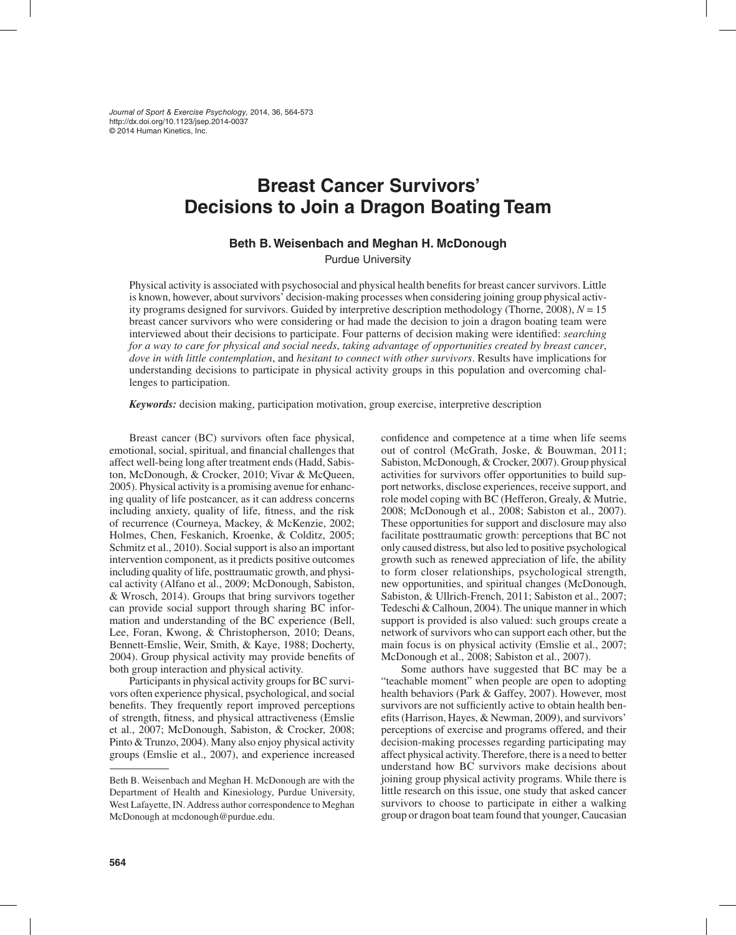*Journal of Sport & Exercise Psychology,* 2014, 36, 564-573 http://dx.doi.org/10.1123/jsep.2014-0037 © 2014 Human Kinetics, Inc.

# **Breast Cancer Survivors' Decisions to Join a Dragon Boating Team**

# **Beth B. Weisenbach and Meghan H. McDonough**

Purdue University

Physical activity is associated with psychosocial and physical health benefits for breast cancer survivors. Little is known, however, about survivors' decision-making processes when considering joining group physical activity programs designed for survivors. Guided by interpretive description methodology (Thorne, 2008), *N* = 15 breast cancer survivors who were considering or had made the decision to join a dragon boating team were interviewed about their decisions to participate. Four patterns of decision making were identified: *searching for a way to care for physical and social needs*, *taking advantage of opportunities created by breast cancer*, *dove in with little contemplation*, and *hesitant to connect with other survivors*. Results have implications for understanding decisions to participate in physical activity groups in this population and overcoming challenges to participation.

*Keywords:* decision making, participation motivation, group exercise, interpretive description

Breast cancer (BC) survivors often face physical, emotional, social, spiritual, and financial challenges that affect well-being long after treatment ends (Hadd, Sabiston, McDonough, & Crocker, 2010; Vivar & McQueen, 2005). Physical activity is a promising avenue for enhancing quality of life postcancer, as it can address concerns including anxiety, quality of life, fitness, and the risk of recurrence (Courneya, Mackey, & McKenzie, 2002; Holmes, Chen, Feskanich, Kroenke, & Colditz, 2005; Schmitz et al., 2010). Social support is also an important intervention component, as it predicts positive outcomes including quality of life, posttraumatic growth, and physical activity (Alfano et al., 2009; McDonough, Sabiston, & Wrosch, 2014). Groups that bring survivors together can provide social support through sharing BC information and understanding of the BC experience (Bell, Lee, Foran, Kwong, & Christopherson, 2010; Deans, Bennett-Emslie, Weir, Smith, & Kaye, 1988; Docherty, 2004). Group physical activity may provide benefits of both group interaction and physical activity.

Participants in physical activity groups for BC survivors often experience physical, psychological, and social benefits. They frequently report improved perceptions of strength, fitness, and physical attractiveness (Emslie et al., 2007; McDonough, Sabiston, & Crocker, 2008; Pinto & Trunzo, 2004). Many also enjoy physical activity groups (Emslie et al., 2007), and experience increased

confidence and competence at a time when life seems out of control (McGrath, Joske, & Bouwman, 2011; Sabiston, McDonough, & Crocker, 2007). Group physical activities for survivors offer opportunities to build support networks, disclose experiences, receive support, and role model coping with BC (Hefferon, Grealy, & Mutrie, 2008; McDonough et al., 2008; Sabiston et al., 2007). These opportunities for support and disclosure may also facilitate posttraumatic growth: perceptions that BC not only caused distress, but also led to positive psychological growth such as renewed appreciation of life, the ability to form closer relationships, psychological strength, new opportunities, and spiritual changes (McDonough, Sabiston, & Ullrich-French, 2011; Sabiston et al., 2007; Tedeschi & Calhoun, 2004). The unique manner in which support is provided is also valued: such groups create a network of survivors who can support each other, but the main focus is on physical activity (Emslie et al., 2007; McDonough et al., 2008; Sabiston et al., 2007).

Some authors have suggested that BC may be a "teachable moment" when people are open to adopting health behaviors (Park & Gaffey, 2007). However, most survivors are not sufficiently active to obtain health benefits (Harrison, Hayes, & Newman, 2009), and survivors' perceptions of exercise and programs offered, and their decision-making processes regarding participating may affect physical activity. Therefore, there is a need to better understand how BC survivors make decisions about joining group physical activity programs. While there is little research on this issue, one study that asked cancer survivors to choose to participate in either a walking group or dragon boat team found that younger, Caucasian

Beth B. Weisenbach and Meghan H. McDonough are with the Department of Health and Kinesiology, Purdue University, West Lafayette, IN. Address author correspondence to Meghan McDonough at mcdonough@purdue.edu.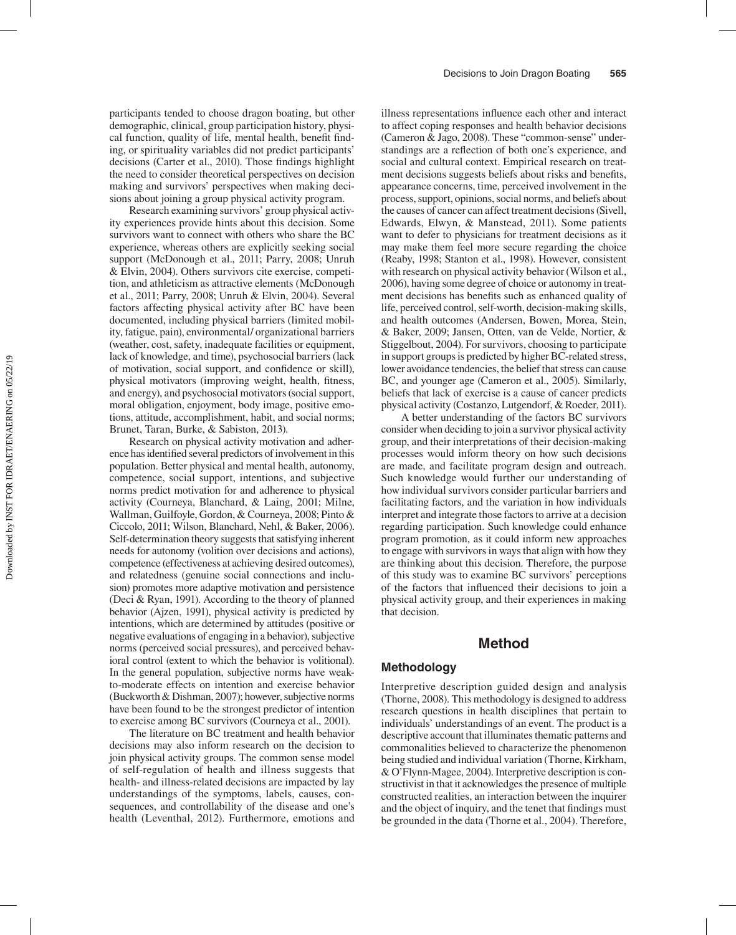participants tended to choose dragon boating, but other demographic, clinical, group participation history, physical function, quality of life, mental health, benefit finding, or spirituality variables did not predict participants' decisions (Carter et al., 2010). Those findings highlight the need to consider theoretical perspectives on decision making and survivors' perspectives when making decisions about joining a group physical activity program.

Research examining survivors' group physical activity experiences provide hints about this decision. Some survivors want to connect with others who share the BC experience, whereas others are explicitly seeking social support (McDonough et al., 2011; Parry, 2008; Unruh & Elvin, 2004). Others survivors cite exercise, competition, and athleticism as attractive elements (McDonough et al., 2011; Parry, 2008; Unruh & Elvin, 2004). Several factors affecting physical activity after BC have been documented, including physical barriers (limited mobility, fatigue, pain), environmental/ organizational barriers (weather, cost, safety, inadequate facilities or equipment, lack of knowledge, and time), psychosocial barriers (lack of motivation, social support, and confidence or skill), physical motivators (improving weight, health, fitness, and energy), and psychosocial motivators (social support, moral obligation, enjoyment, body image, positive emotions, attitude, accomplishment, habit, and social norms; Brunet, Taran, Burke, & Sabiston, 2013).

Research on physical activity motivation and adherence has identified several predictors of involvement in this population. Better physical and mental health, autonomy, competence, social support, intentions, and subjective norms predict motivation for and adherence to physical activity (Courneya, Blanchard, & Laing, 2001; Milne, Wallman, Guilfoyle, Gordon, & Courneya, 2008; Pinto & Ciccolo, 2011; Wilson, Blanchard, Nehl, & Baker, 2006). Self-determination theory suggests that satisfying inherent needs for autonomy (volition over decisions and actions), competence (effectiveness at achieving desired outcomes), and relatedness (genuine social connections and inclusion) promotes more adaptive motivation and persistence (Deci & Ryan, 1991). According to the theory of planned behavior (Ajzen, 1991), physical activity is predicted by intentions, which are determined by attitudes (positive or negative evaluations of engaging in a behavior), subjective norms (perceived social pressures), and perceived behavioral control (extent to which the behavior is volitional). In the general population, subjective norms have weakto-moderate effects on intention and exercise behavior (Buckworth & Dishman, 2007); however, subjective norms have been found to be the strongest predictor of intention to exercise among BC survivors (Courneya et al., 2001).

The literature on BC treatment and health behavior decisions may also inform research on the decision to join physical activity groups. The common sense model of self-regulation of health and illness suggests that health- and illness-related decisions are impacted by lay understandings of the symptoms, labels, causes, consequences, and controllability of the disease and one's health (Leventhal, 2012). Furthermore, emotions and

illness representations influence each other and interact to affect coping responses and health behavior decisions (Cameron & Jago, 2008). These "common-sense" understandings are a reflection of both one's experience, and social and cultural context. Empirical research on treatment decisions suggests beliefs about risks and benefits, appearance concerns, time, perceived involvement in the process, support, opinions, social norms, and beliefs about the causes of cancer can affect treatment decisions (Sivell, Edwards, Elwyn, & Manstead, 2011). Some patients want to defer to physicians for treatment decisions as it may make them feel more secure regarding the choice (Reaby, 1998; Stanton et al., 1998). However, consistent with research on physical activity behavior (Wilson et al., 2006), having some degree of choice or autonomy in treatment decisions has benefits such as enhanced quality of life, perceived control, self-worth, decision-making skills, and health outcomes (Andersen, Bowen, Morea, Stein, & Baker, 2009; Jansen, Otten, van de Velde, Nortier, & Stiggelbout, 2004). For survivors, choosing to participate in support groups is predicted by higher BC-related stress, lower avoidance tendencies, the belief that stress can cause BC, and younger age (Cameron et al., 2005). Similarly, beliefs that lack of exercise is a cause of cancer predicts physical activity (Costanzo, Lutgendorf, & Roeder, 2011).

A better understanding of the factors BC survivors consider when deciding to join a survivor physical activity group, and their interpretations of their decision-making processes would inform theory on how such decisions are made, and facilitate program design and outreach. Such knowledge would further our understanding of how individual survivors consider particular barriers and facilitating factors, and the variation in how individuals interpret and integrate those factors to arrive at a decision regarding participation. Such knowledge could enhance program promotion, as it could inform new approaches to engage with survivors in ways that align with how they are thinking about this decision. Therefore, the purpose of this study was to examine BC survivors' perceptions of the factors that influenced their decisions to join a physical activity group, and their experiences in making that decision.

# **Method**

#### **Methodology**

Interpretive description guided design and analysis (Thorne, 2008). This methodology is designed to address research questions in health disciplines that pertain to individuals' understandings of an event. The product is a descriptive account that illuminates thematic patterns and commonalities believed to characterize the phenomenon being studied and individual variation (Thorne, Kirkham, & O'Flynn-Magee, 2004). Interpretive description is constructivist in that it acknowledges the presence of multiple constructed realities, an interaction between the inquirer and the object of inquiry, and the tenet that findings must be grounded in the data (Thorne et al., 2004). Therefore,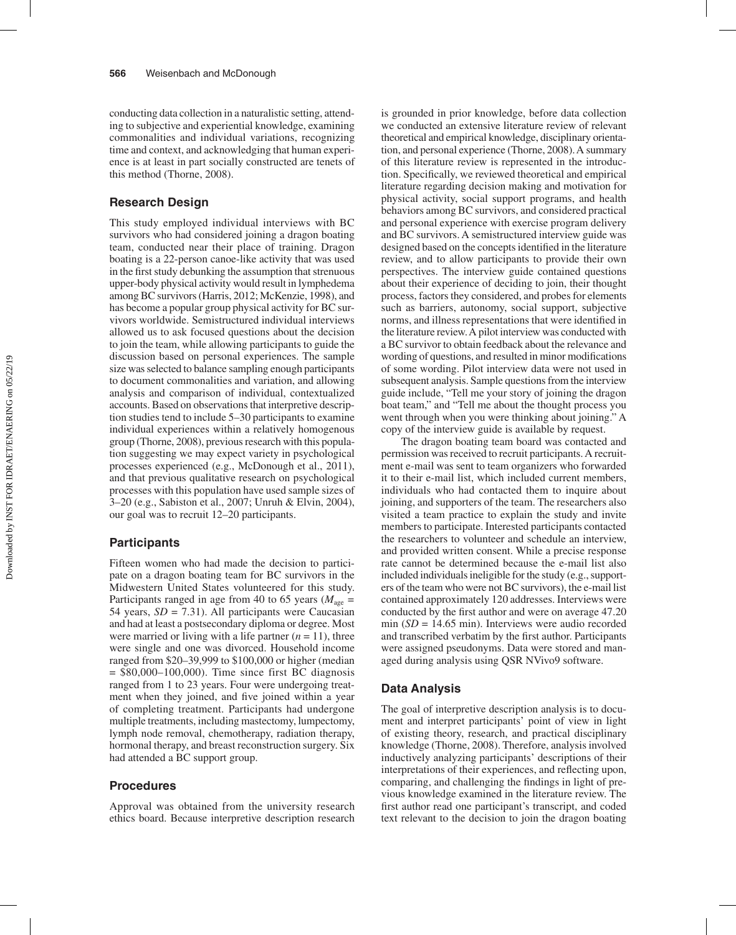conducting data collection in a naturalistic setting, attending to subjective and experiential knowledge, examining commonalities and individual variations, recognizing time and context, and acknowledging that human experience is at least in part socially constructed are tenets of this method (Thorne, 2008).

## **Research Design**

This study employed individual interviews with BC survivors who had considered joining a dragon boating team, conducted near their place of training. Dragon boating is a 22-person canoe-like activity that was used in the first study debunking the assumption that strenuous upper-body physical activity would result in lymphedema among BC survivors (Harris, 2012; McKenzie, 1998), and has become a popular group physical activity for BC survivors worldwide. Semistructured individual interviews allowed us to ask focused questions about the decision to join the team, while allowing participants to guide the discussion based on personal experiences. The sample size was selected to balance sampling enough participants to document commonalities and variation, and allowing analysis and comparison of individual, contextualized accounts. Based on observations that interpretive description studies tend to include 5–30 participants to examine individual experiences within a relatively homogenous group (Thorne, 2008), previous research with this population suggesting we may expect variety in psychological processes experienced (e.g., McDonough et al., 2011), and that previous qualitative research on psychological processes with this population have used sample sizes of 3–20 (e.g., Sabiston et al., 2007; Unruh & Elvin, 2004), our goal was to recruit 12–20 participants.

## **Participants**

Fifteen women who had made the decision to participate on a dragon boating team for BC survivors in the Midwestern United States volunteered for this study. Participants ranged in age from 40 to 65 years (*M*age *=* 54 years,  $SD = 7.31$ ). All participants were Caucasian and had at least a postsecondary diploma or degree. Most were married or living with a life partner  $(n = 11)$ , three were single and one was divorced. Household income ranged from \$20–39,999 to \$100,000 or higher (median  $=$  \$80,000–100,000). Time since first BC diagnosis ranged from 1 to 23 years. Four were undergoing treatment when they joined, and five joined within a year of completing treatment. Participants had undergone multiple treatments, including mastectomy, lumpectomy, lymph node removal, chemotherapy, radiation therapy, hormonal therapy, and breast reconstruction surgery. Six had attended a BC support group.

## **Procedures**

Approval was obtained from the university research ethics board. Because interpretive description research is grounded in prior knowledge, before data collection we conducted an extensive literature review of relevant theoretical and empirical knowledge, disciplinary orientation, and personal experience (Thorne, 2008). A summary of this literature review is represented in the introduction. Specifically, we reviewed theoretical and empirical literature regarding decision making and motivation for physical activity, social support programs, and health behaviors among BC survivors, and considered practical and personal experience with exercise program delivery and BC survivors. A semistructured interview guide was designed based on the concepts identified in the literature review, and to allow participants to provide their own perspectives. The interview guide contained questions about their experience of deciding to join, their thought process, factors they considered, and probes for elements such as barriers, autonomy, social support, subjective norms, and illness representations that were identified in the literature review. A pilot interview was conducted with a BC survivor to obtain feedback about the relevance and wording of questions, and resulted in minor modifications of some wording. Pilot interview data were not used in subsequent analysis. Sample questions from the interview guide include, "Tell me your story of joining the dragon boat team," and "Tell me about the thought process you went through when you were thinking about joining." A copy of the interview guide is available by request.

The dragon boating team board was contacted and permission was received to recruit participants. A recruitment e-mail was sent to team organizers who forwarded it to their e-mail list, which included current members, individuals who had contacted them to inquire about joining, and supporters of the team. The researchers also visited a team practice to explain the study and invite members to participate. Interested participants contacted the researchers to volunteer and schedule an interview, and provided written consent. While a precise response rate cannot be determined because the e-mail list also included individuals ineligible for the study (e.g., supporters of the team who were not BC survivors), the e-mail list contained approximately 120 addresses. Interviews were conducted by the first author and were on average 47.20 min  $(SD = 14.65$  min). Interviews were audio recorded and transcribed verbatim by the first author. Participants were assigned pseudonyms. Data were stored and managed during analysis using QSR NVivo9 software.

#### **Data Analysis**

The goal of interpretive description analysis is to document and interpret participants' point of view in light of existing theory, research, and practical disciplinary knowledge (Thorne, 2008). Therefore, analysis involved inductively analyzing participants' descriptions of their interpretations of their experiences, and reflecting upon, comparing, and challenging the findings in light of previous knowledge examined in the literature review. The first author read one participant's transcript, and coded text relevant to the decision to join the dragon boating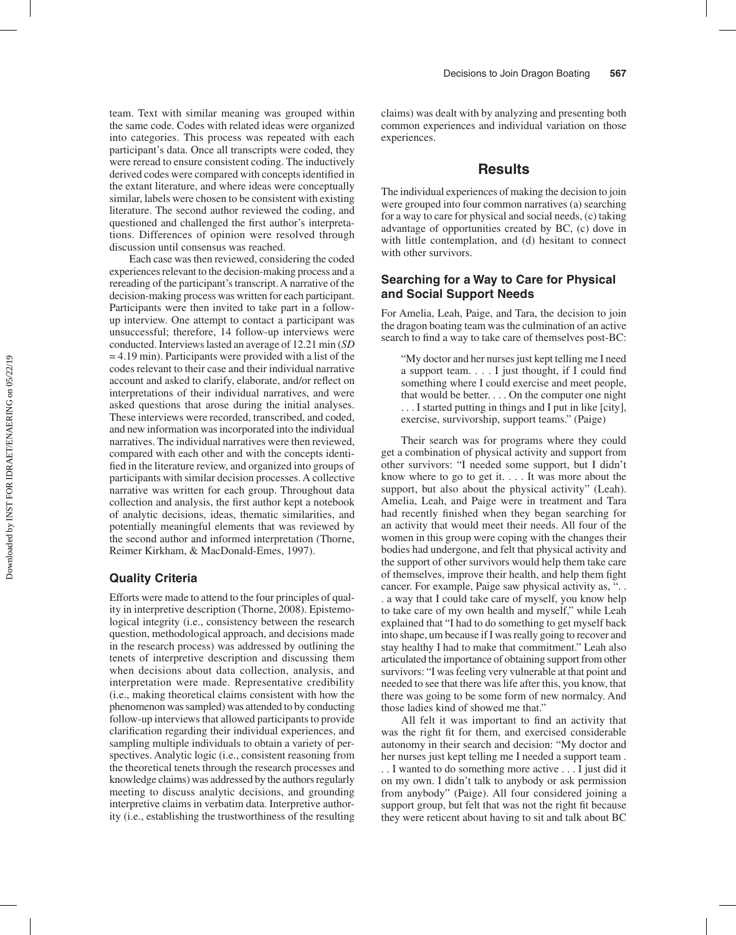team. Text with similar meaning was grouped within the same code. Codes with related ideas were organized into categories. This process was repeated with each participant's data. Once all transcripts were coded, they were reread to ensure consistent coding. The inductively derived codes were compared with concepts identified in the extant literature, and where ideas were conceptually similar, labels were chosen to be consistent with existing literature. The second author reviewed the coding, and questioned and challenged the first author's interpretations. Differences of opinion were resolved through discussion until consensus was reached.

Each case was then reviewed, considering the coded experiences relevant to the decision-making process and a rereading of the participant's transcript. A narrative of the decision-making process was written for each participant. Participants were then invited to take part in a followup interview. One attempt to contact a participant was unsuccessful; therefore, 14 follow-up interviews were conducted. Interviews lasted an average of 12.21 min (*SD* = 4.19 min). Participants were provided with a list of the codes relevant to their case and their individual narrative account and asked to clarify, elaborate, and/or reflect on interpretations of their individual narratives, and were asked questions that arose during the initial analyses. These interviews were recorded, transcribed, and coded, and new information was incorporated into the individual narratives. The individual narratives were then reviewed, compared with each other and with the concepts identified in the literature review, and organized into groups of participants with similar decision processes. A collective narrative was written for each group. Throughout data collection and analysis, the first author kept a notebook of analytic decisions, ideas, thematic similarities, and potentially meaningful elements that was reviewed by the second author and informed interpretation (Thorne, Reimer Kirkham, & MacDonald-Emes, 1997).

# **Quality Criteria**

Efforts were made to attend to the four principles of quality in interpretive description (Thorne, 2008). Epistemological integrity (i.e., consistency between the research question, methodological approach, and decisions made in the research process) was addressed by outlining the tenets of interpretive description and discussing them when decisions about data collection, analysis, and interpretation were made. Representative credibility (i.e., making theoretical claims consistent with how the phenomenon was sampled) was attended to by conducting follow-up interviews that allowed participants to provide clarification regarding their individual experiences, and sampling multiple individuals to obtain a variety of perspectives. Analytic logic (i.e., consistent reasoning from the theoretical tenets through the research processes and knowledge claims) was addressed by the authors regularly meeting to discuss analytic decisions, and grounding interpretive claims in verbatim data. Interpretive authority (i.e., establishing the trustworthiness of the resulting claims) was dealt with by analyzing and presenting both common experiences and individual variation on those experiences.

# **Results**

The individual experiences of making the decision to join were grouped into four common narratives (a) searching for a way to care for physical and social needs, (c) taking advantage of opportunities created by BC, (c) dove in with little contemplation, and (d) hesitant to connect with other survivors.

# **Searching for a Way to Care for Physical and Social Support Needs**

For Amelia, Leah, Paige, and Tara, the decision to join the dragon boating team was the culmination of an active search to find a way to take care of themselves post-BC:

"My doctor and her nurses just kept telling me I need a support team. . . . I just thought, if I could find something where I could exercise and meet people, that would be better. . . . On the computer one night . . . I started putting in things and I put in like [city], exercise, survivorship, support teams." (Paige)

Their search was for programs where they could get a combination of physical activity and support from other survivors: "I needed some support, but I didn't know where to go to get it. . . . It was more about the support, but also about the physical activity" (Leah). Amelia, Leah, and Paige were in treatment and Tara had recently finished when they began searching for an activity that would meet their needs. All four of the women in this group were coping with the changes their bodies had undergone, and felt that physical activity and the support of other survivors would help them take care of themselves, improve their health, and help them fight cancer. For example, Paige saw physical activity as, ". . . a way that I could take care of myself, you know help to take care of my own health and myself," while Leah explained that "I had to do something to get myself back into shape, um because if I was really going to recover and stay healthy I had to make that commitment." Leah also articulated the importance of obtaining support from other survivors: "I was feeling very vulnerable at that point and needed to see that there was life after this, you know, that there was going to be some form of new normalcy. And those ladies kind of showed me that."

All felt it was important to find an activity that was the right fit for them, and exercised considerable autonomy in their search and decision: "My doctor and her nurses just kept telling me I needed a support team . . . I wanted to do something more active . . . I just did it on my own. I didn't talk to anybody or ask permission from anybody" (Paige). All four considered joining a support group, but felt that was not the right fit because they were reticent about having to sit and talk about BC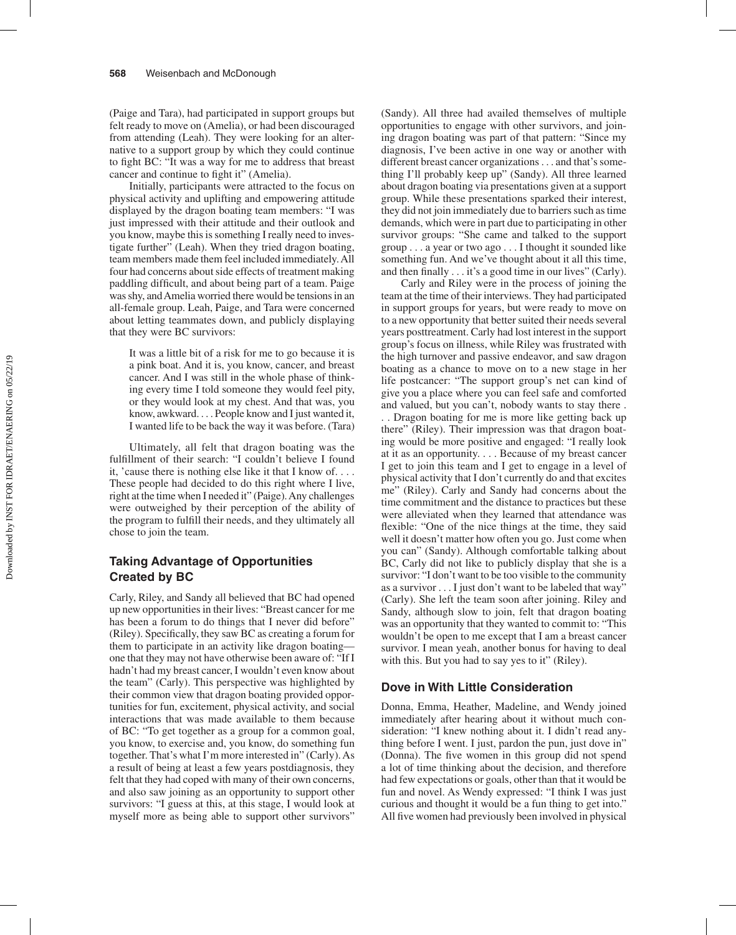(Paige and Tara), had participated in support groups but felt ready to move on (Amelia), or had been discouraged from attending (Leah). They were looking for an alternative to a support group by which they could continue to fight BC: "It was a way for me to address that breast cancer and continue to fight it" (Amelia).

Initially, participants were attracted to the focus on physical activity and uplifting and empowering attitude displayed by the dragon boating team members: "I was just impressed with their attitude and their outlook and you know, maybe this is something I really need to investigate further" (Leah). When they tried dragon boating, team members made them feel included immediately. All four had concerns about side effects of treatment making paddling difficult, and about being part of a team. Paige was shy, and Amelia worried there would be tensions in an all-female group. Leah, Paige, and Tara were concerned about letting teammates down, and publicly displaying that they were BC survivors:

It was a little bit of a risk for me to go because it is a pink boat. And it is, you know, cancer, and breast cancer. And I was still in the whole phase of thinking every time I told someone they would feel pity, or they would look at my chest. And that was, you know, awkward. . . . People know and I just wanted it, I wanted life to be back the way it was before. (Tara)

Ultimately, all felt that dragon boating was the fulfillment of their search: "I couldn't believe I found it, 'cause there is nothing else like it that I know of. . . . These people had decided to do this right where I live, right at the time when I needed it" (Paige). Any challenges were outweighed by their perception of the ability of the program to fulfill their needs, and they ultimately all chose to join the team.

# **Taking Advantage of Opportunities Created by BC**

Carly, Riley, and Sandy all believed that BC had opened up new opportunities in their lives: "Breast cancer for me has been a forum to do things that I never did before" (Riley). Specifically, they saw BC as creating a forum for them to participate in an activity like dragon boating one that they may not have otherwise been aware of: "If I hadn't had my breast cancer, I wouldn't even know about the team" (Carly). This perspective was highlighted by their common view that dragon boating provided opportunities for fun, excitement, physical activity, and social interactions that was made available to them because of BC: "To get together as a group for a common goal, you know, to exercise and, you know, do something fun together. That's what I'm more interested in" (Carly). As a result of being at least a few years postdiagnosis, they felt that they had coped with many of their own concerns, and also saw joining as an opportunity to support other survivors: "I guess at this, at this stage, I would look at myself more as being able to support other survivors"

(Sandy). All three had availed themselves of multiple opportunities to engage with other survivors, and joining dragon boating was part of that pattern: "Since my diagnosis, I've been active in one way or another with different breast cancer organizations . . . and that's something I'll probably keep up" (Sandy). All three learned about dragon boating via presentations given at a support group. While these presentations sparked their interest, they did not join immediately due to barriers such as time demands, which were in part due to participating in other survivor groups: "She came and talked to the support group . . . a year or two ago . . . I thought it sounded like something fun. And we've thought about it all this time, and then finally . . . it's a good time in our lives" (Carly).

Carly and Riley were in the process of joining the team at the time of their interviews. They had participated in support groups for years, but were ready to move on to a new opportunity that better suited their needs several years posttreatment. Carly had lost interest in the support group's focus on illness, while Riley was frustrated with the high turnover and passive endeavor, and saw dragon boating as a chance to move on to a new stage in her life postcancer: "The support group's net can kind of give you a place where you can feel safe and comforted and valued, but you can't, nobody wants to stay there .

. . Dragon boating for me is more like getting back up there" (Riley). Their impression was that dragon boating would be more positive and engaged: "I really look at it as an opportunity. . . . Because of my breast cancer I get to join this team and I get to engage in a level of physical activity that I don't currently do and that excites me" (Riley). Carly and Sandy had concerns about the time commitment and the distance to practices but these were alleviated when they learned that attendance was flexible: "One of the nice things at the time, they said well it doesn't matter how often you go. Just come when you can" (Sandy). Although comfortable talking about BC, Carly did not like to publicly display that she is a survivor: "I don't want to be too visible to the community as a survivor . . . I just don't want to be labeled that way" (Carly). She left the team soon after joining. Riley and Sandy, although slow to join, felt that dragon boating was an opportunity that they wanted to commit to: "This wouldn't be open to me except that I am a breast cancer survivor. I mean yeah, another bonus for having to deal with this. But you had to say yes to it" (Riley).

## **Dove in With Little Consideration**

Donna, Emma, Heather, Madeline, and Wendy joined immediately after hearing about it without much consideration: "I knew nothing about it. I didn't read anything before I went. I just, pardon the pun, just dove in" (Donna). The five women in this group did not spend a lot of time thinking about the decision, and therefore had few expectations or goals, other than that it would be fun and novel. As Wendy expressed: "I think I was just curious and thought it would be a fun thing to get into." All five women had previously been involved in physical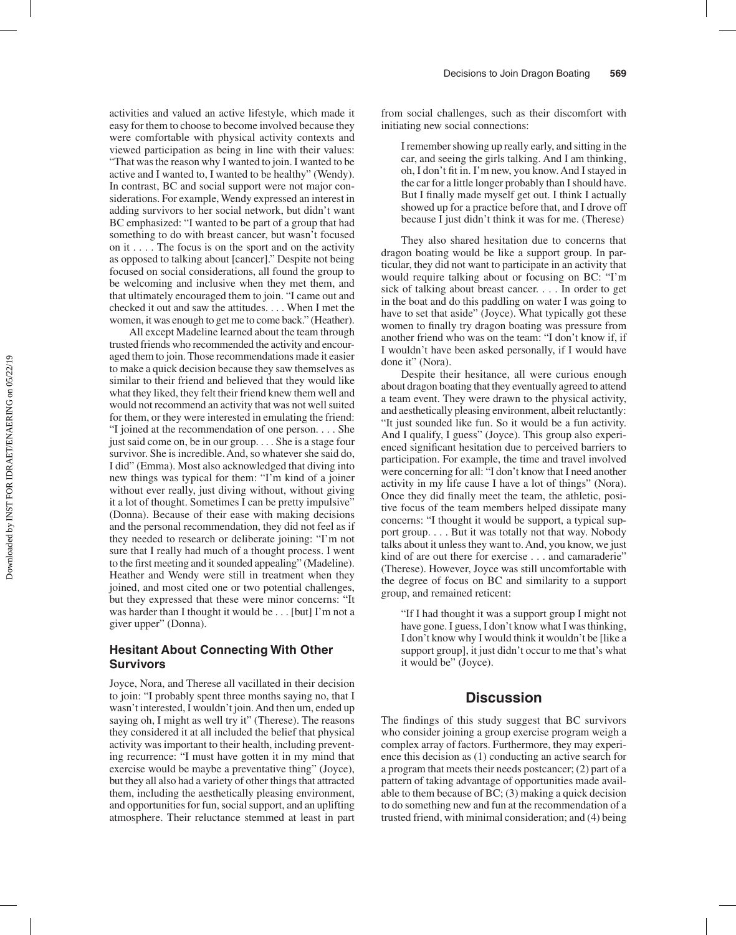activities and valued an active lifestyle, which made it easy for them to choose to become involved because they were comfortable with physical activity contexts and viewed participation as being in line with their values: "That was the reason why I wanted to join. I wanted to be active and I wanted to, I wanted to be healthy" (Wendy). In contrast, BC and social support were not major considerations. For example, Wendy expressed an interest in adding survivors to her social network, but didn't want BC emphasized: "I wanted to be part of a group that had something to do with breast cancer, but wasn't focused on it . . . . The focus is on the sport and on the activity as opposed to talking about [cancer]." Despite not being focused on social considerations, all found the group to be welcoming and inclusive when they met them, and that ultimately encouraged them to join. "I came out and checked it out and saw the attitudes. . . . When I met the women, it was enough to get me to come back." (Heather).

All except Madeline learned about the team through trusted friends who recommended the activity and encouraged them to join. Those recommendations made it easier to make a quick decision because they saw themselves as similar to their friend and believed that they would like what they liked, they felt their friend knew them well and would not recommend an activity that was not well suited for them, or they were interested in emulating the friend: "I joined at the recommendation of one person. . . . She just said come on, be in our group. . . . She is a stage four survivor. She is incredible. And, so whatever she said do, I did" (Emma). Most also acknowledged that diving into new things was typical for them: "I'm kind of a joiner without ever really, just diving without, without giving it a lot of thought. Sometimes I can be pretty impulsive" (Donna). Because of their ease with making decisions and the personal recommendation, they did not feel as if they needed to research or deliberate joining: "I'm not sure that I really had much of a thought process. I went to the first meeting and it sounded appealing" (Madeline). Heather and Wendy were still in treatment when they joined, and most cited one or two potential challenges, but they expressed that these were minor concerns: "It was harder than I thought it would be . . . [but] I'm not a giver upper" (Donna).

# **Hesitant About Connecting With Other Survivors**

Joyce, Nora, and Therese all vacillated in their decision to join: "I probably spent three months saying no, that I wasn't interested, I wouldn't join. And then um, ended up saying oh, I might as well try it" (Therese). The reasons they considered it at all included the belief that physical activity was important to their health, including preventing recurrence: "I must have gotten it in my mind that exercise would be maybe a preventative thing" (Joyce), but they all also had a variety of other things that attracted them, including the aesthetically pleasing environment, and opportunities for fun, social support, and an uplifting atmosphere. Their reluctance stemmed at least in part from social challenges, such as their discomfort with initiating new social connections:

I remember showing up really early, and sitting in the car, and seeing the girls talking. And I am thinking, oh, I don't fit in. I'm new, you know. And I stayed in the car for a little longer probably than I should have. But I finally made myself get out. I think I actually showed up for a practice before that, and I drove off because I just didn't think it was for me. (Therese)

They also shared hesitation due to concerns that dragon boating would be like a support group. In particular, they did not want to participate in an activity that would require talking about or focusing on BC: "I'm sick of talking about breast cancer. . . . In order to get in the boat and do this paddling on water I was going to have to set that aside" (Joyce). What typically got these women to finally try dragon boating was pressure from another friend who was on the team: "I don't know if, if I wouldn't have been asked personally, if I would have done it" (Nora).

Despite their hesitance, all were curious enough about dragon boating that they eventually agreed to attend a team event. They were drawn to the physical activity, and aesthetically pleasing environment, albeit reluctantly: "It just sounded like fun. So it would be a fun activity. And I qualify, I guess" (Joyce). This group also experienced significant hesitation due to perceived barriers to participation. For example, the time and travel involved were concerning for all: "I don't know that I need another activity in my life cause I have a lot of things" (Nora). Once they did finally meet the team, the athletic, positive focus of the team members helped dissipate many concerns: "I thought it would be support, a typical support group. . . . But it was totally not that way. Nobody talks about it unless they want to. And, you know, we just kind of are out there for exercise . . . and camaraderie" (Therese). However, Joyce was still uncomfortable with the degree of focus on BC and similarity to a support group, and remained reticent:

"If I had thought it was a support group I might not have gone. I guess, I don't know what I was thinking, I don't know why I would think it wouldn't be [like a support group], it just didn't occur to me that's what it would be" (Joyce).

# **Discussion**

The findings of this study suggest that BC survivors who consider joining a group exercise program weigh a complex array of factors. Furthermore, they may experience this decision as (1) conducting an active search for a program that meets their needs postcancer; (2) part of a pattern of taking advantage of opportunities made available to them because of BC; (3) making a quick decision to do something new and fun at the recommendation of a trusted friend, with minimal consideration; and (4) being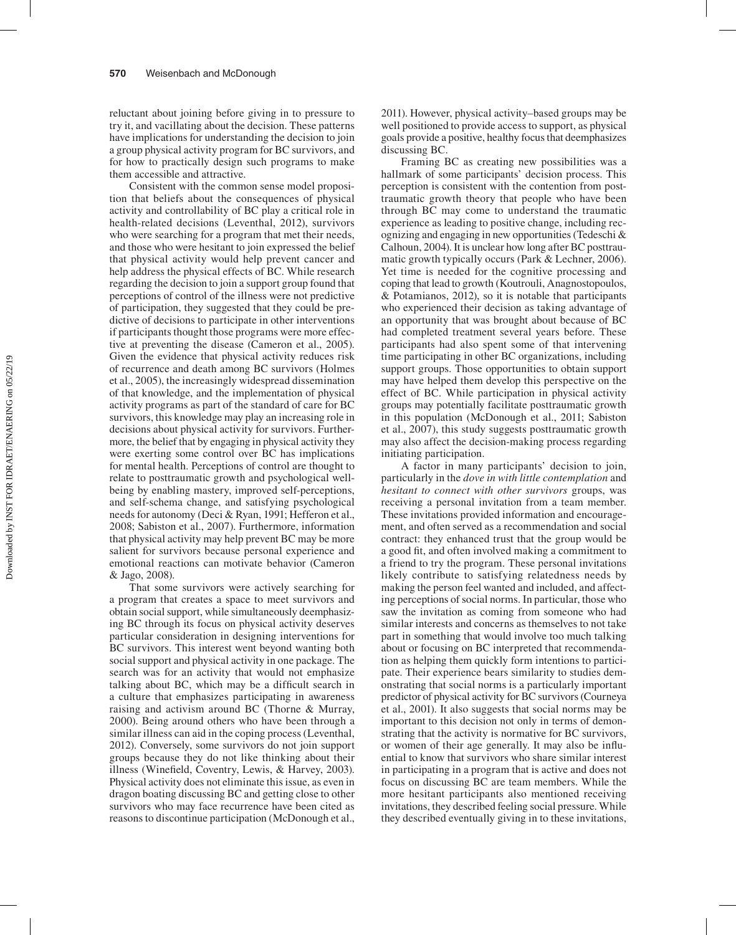reluctant about joining before giving in to pressure to try it, and vacillating about the decision. These patterns have implications for understanding the decision to join a group physical activity program for BC survivors, and for how to practically design such programs to make them accessible and attractive.

Consistent with the common sense model proposition that beliefs about the consequences of physical activity and controllability of BC play a critical role in health-related decisions (Leventhal, 2012), survivors who were searching for a program that met their needs, and those who were hesitant to join expressed the belief that physical activity would help prevent cancer and help address the physical effects of BC. While research regarding the decision to join a support group found that perceptions of control of the illness were not predictive of participation, they suggested that they could be predictive of decisions to participate in other interventions if participants thought those programs were more effective at preventing the disease (Cameron et al., 2005). Given the evidence that physical activity reduces risk of recurrence and death among BC survivors (Holmes et al., 2005), the increasingly widespread dissemination of that knowledge, and the implementation of physical activity programs as part of the standard of care for BC survivors, this knowledge may play an increasing role in decisions about physical activity for survivors. Furthermore, the belief that by engaging in physical activity they were exerting some control over BC has implications for mental health. Perceptions of control are thought to relate to posttraumatic growth and psychological wellbeing by enabling mastery, improved self-perceptions, and self-schema change, and satisfying psychological needs for autonomy (Deci & Ryan, 1991; Hefferon et al., 2008; Sabiston et al., 2007). Furthermore, information that physical activity may help prevent BC may be more salient for survivors because personal experience and emotional reactions can motivate behavior (Cameron & Jago, 2008).

That some survivors were actively searching for a program that creates a space to meet survivors and obtain social support, while simultaneously deemphasizing BC through its focus on physical activity deserves particular consideration in designing interventions for BC survivors. This interest went beyond wanting both social support and physical activity in one package. The search was for an activity that would not emphasize talking about BC, which may be a difficult search in a culture that emphasizes participating in awareness raising and activism around BC (Thorne & Murray, 2000). Being around others who have been through a similar illness can aid in the coping process (Leventhal, 2012). Conversely, some survivors do not join support groups because they do not like thinking about their illness (Winefield, Coventry, Lewis, & Harvey, 2003). Physical activity does not eliminate this issue, as even in dragon boating discussing BC and getting close to other survivors who may face recurrence have been cited as reasons to discontinue participation (McDonough et al.,

2011). However, physical activity–based groups may be well positioned to provide access to support, as physical goals provide a positive, healthy focus that deemphasizes discussing BC.

Framing BC as creating new possibilities was a hallmark of some participants' decision process. This perception is consistent with the contention from posttraumatic growth theory that people who have been through BC may come to understand the traumatic experience as leading to positive change, including recognizing and engaging in new opportunities (Tedeschi & Calhoun, 2004). It is unclear how long after BC posttraumatic growth typically occurs (Park & Lechner, 2006). Yet time is needed for the cognitive processing and coping that lead to growth (Koutrouli, Anagnostopoulos, & Potamianos, 2012), so it is notable that participants who experienced their decision as taking advantage of an opportunity that was brought about because of BC had completed treatment several years before. These participants had also spent some of that intervening time participating in other BC organizations, including support groups. Those opportunities to obtain support may have helped them develop this perspective on the effect of BC. While participation in physical activity groups may potentially facilitate posttraumatic growth in this population (McDonough et al., 2011; Sabiston et al., 2007), this study suggests posttraumatic growth may also affect the decision-making process regarding initiating participation.

A factor in many participants' decision to join, particularly in the *dove in with little contemplation* and *hesitant to connect with other survivors* groups, was receiving a personal invitation from a team member. These invitations provided information and encouragement, and often served as a recommendation and social contract: they enhanced trust that the group would be a good fit, and often involved making a commitment to a friend to try the program. These personal invitations likely contribute to satisfying relatedness needs by making the person feel wanted and included, and affecting perceptions of social norms. In particular, those who saw the invitation as coming from someone who had similar interests and concerns as themselves to not take part in something that would involve too much talking about or focusing on BC interpreted that recommendation as helping them quickly form intentions to participate. Their experience bears similarity to studies demonstrating that social norms is a particularly important predictor of physical activity for BC survivors (Courneya et al., 2001). It also suggests that social norms may be important to this decision not only in terms of demonstrating that the activity is normative for BC survivors, or women of their age generally. It may also be influential to know that survivors who share similar interest in participating in a program that is active and does not focus on discussing BC are team members. While the more hesitant participants also mentioned receiving invitations, they described feeling social pressure. While they described eventually giving in to these invitations,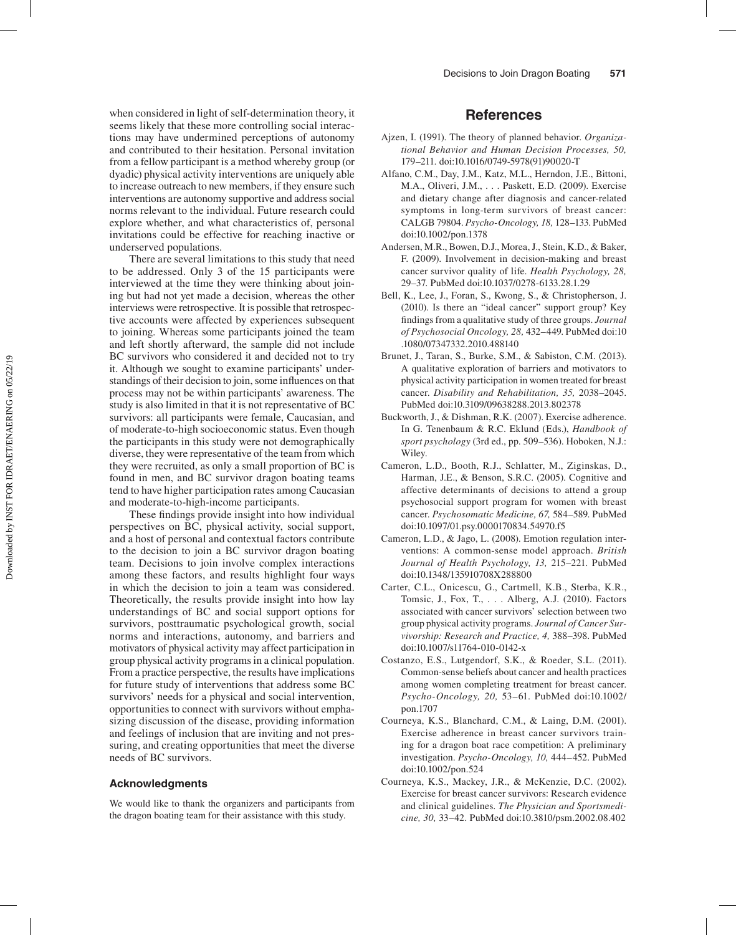when considered in light of self-determination theory, it seems likely that these more controlling social interactions may have undermined perceptions of autonomy and contributed to their hesitation. Personal invitation from a fellow participant is a method whereby group (or dyadic) physical activity interventions are uniquely able to increase outreach to new members, if they ensure such interventions are autonomy supportive and address social norms relevant to the individual. Future research could explore whether, and what characteristics of, personal invitations could be effective for reaching inactive or underserved populations.

There are several limitations to this study that need to be addressed. Only 3 of the 15 participants were interviewed at the time they were thinking about joining but had not yet made a decision, whereas the other interviews were retrospective. It is possible that retrospective accounts were affected by experiences subsequent to joining. Whereas some participants joined the team and left shortly afterward, the sample did not include BC survivors who considered it and decided not to try it. Although we sought to examine participants' understandings of their decision to join, some influences on that process may not be within participants' awareness. The study is also limited in that it is not representative of BC survivors: all participants were female, Caucasian, and of moderate-to-high socioeconomic status. Even though the participants in this study were not demographically diverse, they were representative of the team from which they were recruited, as only a small proportion of BC is found in men, and BC survivor dragon boating teams tend to have higher participation rates among Caucasian and moderate-to-high-income participants.

These findings provide insight into how individual perspectives on BC, physical activity, social support, and a host of personal and contextual factors contribute to the decision to join a BC survivor dragon boating team. Decisions to join involve complex interactions among these factors, and results highlight four ways in which the decision to join a team was considered. Theoretically, the results provide insight into how lay understandings of BC and social support options for survivors, posttraumatic psychological growth, social norms and interactions, autonomy, and barriers and motivators of physical activity may affect participation in group physical activity programs in a clinical population. From a practice perspective, the results have implications for future study of interventions that address some BC survivors' needs for a physical and social intervention, opportunities to connect with survivors without emphasizing discussion of the disease, providing information and feelings of inclusion that are inviting and not pressuring, and creating opportunities that meet the diverse needs of BC survivors.

#### **Acknowledgments**

We would like to thank the organizers and participants from the dragon boating team for their assistance with this study.

# **References**

- Ajzen, I. (1991). The theory of planned behavior. *Organizational Behavior and Human Decision Processes, 50,* 179–211. doi:10.1016/0749-5978(91)90020-T
- Alfano, C.M., Day, J.M., Katz, M.L., Herndon, J.E., Bittoni, M.A., Oliveri, J.M., . . . Paskett, E.D. (2009). Exercise and dietary change after diagnosis and cancer-related symptoms in long-term survivors of breast cancer: CALGB 79804. *Psycho-Oncology, 18,* 128–133. PubMed doi:10.1002/pon.1378
- Andersen, M.R., Bowen, D.J., Morea, J., Stein, K.D., & Baker, F. (2009). Involvement in decision-making and breast cancer survivor quality of life. *Health Psychology, 28,* 29–37. PubMed doi:10.1037/0278-6133.28.1.29
- Bell, K., Lee, J., Foran, S., Kwong, S., & Christopherson, J. (2010). Is there an "ideal cancer" support group? Key findings from a qualitative study of three groups. *Journal of Psychosocial Oncology, 28,* 432–449. PubMed doi:10 .1080/07347332.2010.488140
- Brunet, J., Taran, S., Burke, S.M., & Sabiston, C.M. (2013). A qualitative exploration of barriers and motivators to physical activity participation in women treated for breast cancer. *Disability and Rehabilitation, 35,* 2038–2045. PubMed doi:10.3109/09638288.2013.802378
- Buckworth, J., & Dishman, R.K. (2007). Exercise adherence. In G. Tenenbaum & R.C. Eklund (Eds.), *Handbook of sport psychology* (3rd ed., pp. 509–536). Hoboken, N.J.: Wiley.
- Cameron, L.D., Booth, R.J., Schlatter, M., Ziginskas, D., Harman, J.E., & Benson, S.R.C. (2005). Cognitive and affective determinants of decisions to attend a group psychosocial support program for women with breast cancer. *Psychosomatic Medicine, 67,* 584–589. PubMed doi:10.1097/01.psy.0000170834.54970.f5
- Cameron, L.D., & Jago, L. (2008). Emotion regulation interventions: A common-sense model approach. *British Journal of Health Psychology, 13,* 215–221. PubMed doi:10.1348/135910708X288800
- Carter, C.L., Onicescu, G., Cartmell, K.B., Sterba, K.R., Tomsic, J., Fox, T., . . . Alberg, A.J. (2010). Factors associated with cancer survivors' selection between two group physical activity programs. *Journal of Cancer Survivorship: Research and Practice, 4,* 388–398. PubMed doi:10.1007/s11764-010-0142-x
- Costanzo, E.S., Lutgendorf, S.K., & Roeder, S.L. (2011). Common-sense beliefs about cancer and health practices among women completing treatment for breast cancer. *Psycho-Oncology, 20,* 53–61. PubMed doi:10.1002/ pon.1707
- Courneya, K.S., Blanchard, C.M., & Laing, D.M. (2001). Exercise adherence in breast cancer survivors training for a dragon boat race competition: A preliminary investigation. *Psycho-Oncology, 10,* 444–452. PubMed doi:10.1002/pon.524
- Courneya, K.S., Mackey, J.R., & McKenzie, D.C. (2002). Exercise for breast cancer survivors: Research evidence and clinical guidelines. *The Physician and Sportsmedicine, 30,* 33–42. PubMed doi:10.3810/psm.2002.08.402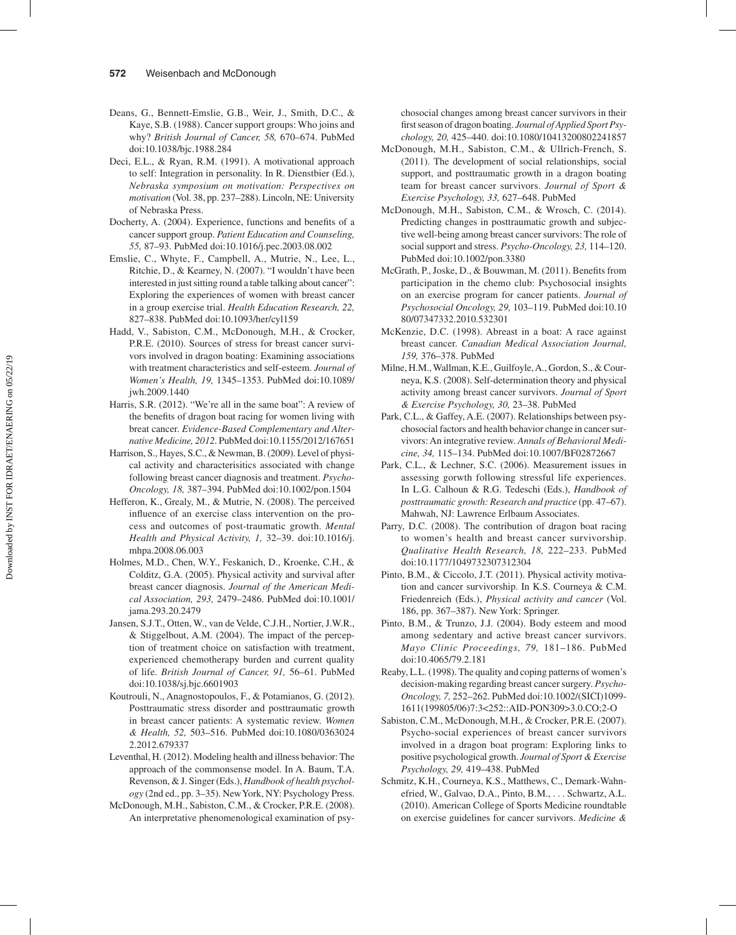#### **572** Weisenbach and McDonough

- Deans, G., Bennett-Emslie, G.B., Weir, J., Smith, D.C., & Kaye, S.B. (1988). Cancer support groups: Who joins and why? *British Journal of Cancer, 58,* 670–674. PubMed doi:10.1038/bjc.1988.284
- Deci, E.L., & Ryan, R.M. (1991). A motivational approach to self: Integration in personality. In R. Dienstbier (Ed.), *Nebraska symposium on motivation: Perspectives on motivation* (Vol. 38, pp. 237–288). Lincoln, NE: University of Nebraska Press.
- Docherty, A. (2004). Experience, functions and benefits of a cancer support group. *Patient Education and Counseling, 55,* 87–93. PubMed doi:10.1016/j.pec.2003.08.002
- Emslie, C., Whyte, F., Campbell, A., Mutrie, N., Lee, L., Ritchie, D., & Kearney, N. (2007). "I wouldn't have been interested in just sitting round a table talking about cancer": Exploring the experiences of women with breast cancer in a group exercise trial. *Health Education Research, 22,* 827–838. PubMed doi:10.1093/her/cyl159
- Hadd, V., Sabiston, C.M., McDonough, M.H., & Crocker, P.R.E. (2010). Sources of stress for breast cancer survivors involved in dragon boating: Examining associations with treatment characteristics and self-esteem. *Journal of Women's Health, 19,* 1345–1353. PubMed doi:10.1089/ jwh.2009.1440
- Harris, S.R. (2012). "We're all in the same boat": A review of the benefits of dragon boat racing for women living with breat cancer. *Evidence-Based Complementary and Alternative Medicine, 2012*. PubMed doi:10.1155/2012/167651
- Harrison, S., Hayes, S.C., & Newman, B. (2009). Level of physical activity and characterisitics associated with change following breast cancer diagnosis and treatment. *Psycho-Oncology, 18,* 387–394. PubMed doi:10.1002/pon.1504
- Hefferon, K., Grealy, M., & Mutrie, N. (2008). The perceived influence of an exercise class intervention on the process and outcomes of post-traumatic growth. *Mental Health and Physical Activity, 1,* 32–39. doi:10.1016/j. mhpa.2008.06.003
- Holmes, M.D., Chen, W.Y., Feskanich, D., Kroenke, C.H., & Colditz, G.A. (2005). Physical activity and survival after breast cancer diagnosis. *Journal of the American Medical Association, 293,* 2479–2486. PubMed doi:10.1001/ jama.293.20.2479
- Jansen, S.J.T., Otten, W., van de Velde, C.J.H., Nortier, J.W.R., & Stiggelbout, A.M. (2004). The impact of the perception of treatment choice on satisfaction with treatment, experienced chemotherapy burden and current quality of life. *British Journal of Cancer, 91,* 56–61. PubMed doi:10.1038/sj.bjc.6601903
- Koutrouli, N., Anagnostopoulos, F., & Potamianos, G. (2012). Posttraumatic stress disorder and posttraumatic growth in breast cancer patients: A systematic review. *Women & Health, 52,* 503–516. PubMed doi:10.1080/0363024 2.2012.679337
- Leventhal, H. (2012). Modeling health and illness behavior: The approach of the commonsense model. In A. Baum, T.A. Revenson, & J. Singer (Eds.), *Handbook of health psychology* (2nd ed., pp. 3–35). New York, NY: Psychology Press.
- McDonough, M.H., Sabiston, C.M., & Crocker, P.R.E. (2008). An interpretative phenomenological examination of psy-

chosocial changes among breast cancer survivors in their first season of dragon boating. *Journal of Applied Sport Psychology, 20,* 425–440. doi:10.1080/10413200802241857

- McDonough, M.H., Sabiston, C.M., & Ullrich-French, S. (2011). The development of social relationships, social support, and posttraumatic growth in a dragon boating team for breast cancer survivors. *Journal of Sport & Exercise Psychology, 33,* 627–648. PubMed
- McDonough, M.H., Sabiston, C.M., & Wrosch, C. (2014). Predicting changes in posttraumatic growth and subjective well-being among breast cancer survivors: The role of social support and stress. *Psycho-Oncology, 23,* 114–120. PubMed doi:10.1002/pon.3380
- McGrath, P., Joske, D., & Bouwman, M. (2011). Benefits from participation in the chemo club: Psychosocial insights on an exercise program for cancer patients. *Journal of Psychosocial Oncology, 29,* 103–119. PubMed doi:10.10 80/07347332.2010.532301
- McKenzie, D.C. (1998). Abreast in a boat: A race against breast cancer. *Canadian Medical Association Journal, 159,* 376–378. PubMed
- Milne, H.M., Wallman, K.E., Guilfoyle, A., Gordon, S., & Courneya, K.S. (2008). Self-determination theory and physical activity among breast cancer survivors. *Journal of Sport & Exercise Psychology, 30,* 23–38. PubMed
- Park, C.L., & Gaffey, A.E. (2007). Relationships between psychosocial factors and health behavior change in cancer survivors: An integrative review. *Annals of Behavioral Medicine, 34,* 115–134. PubMed doi:10.1007/BF02872667
- Park, C.L., & Lechner, S.C. (2006). Measurement issues in assessing gorwth following stressful life experiences. In L.G. Calhoun & R.G. Tedeschi (Eds.), *Handbook of posttraumatic growth: Research and practice* (pp. 47–67). Mahwah, NJ: Lawrence Erlbaum Associates.
- Parry, D.C. (2008). The contribution of dragon boat racing to women's health and breast cancer survivorship. *Qualitative Health Research, 18,* 222–233. PubMed doi:10.1177/1049732307312304
- Pinto, B.M., & Ciccolo, J.T. (2011). Physical activity motivation and cancer survivorship. In K.S. Courneya & C.M. Friedenreich (Eds.), *Physical activity and cancer* (Vol. 186, pp. 367–387). New York: Springer.
- Pinto, B.M., & Trunzo, J.J. (2004). Body esteem and mood among sedentary and active breast cancer survivors. *Mayo Clinic Proceedings, 79,* 181–186. PubMed doi:10.4065/79.2.181
- Reaby, L.L. (1998). The quality and coping patterns of women's decision-making regarding breast cancer surgery. *Psycho-Oncology, 7,* 252–262. PubMed doi:10.1002/(SICI)1099- 1611(199805/06)7:3<252::AID-PON309>3.0.CO;2-O
- Sabiston, C.M., McDonough, M.H., & Crocker, P.R.E. (2007). Psycho-social experiences of breast cancer survivors involved in a dragon boat program: Exploring links to positive psychological growth. *Journal of Sport & Exercise Psychology, 29,* 419–438. PubMed
- Schmitz, K.H., Courneya, K.S., Matthews, C., Demark-Wahnefried, W., Galvao, D.A., Pinto, B.M., . . . Schwartz, A.L. (2010). American College of Sports Medicine roundtable on exercise guidelines for cancer survivors. *Medicine &*